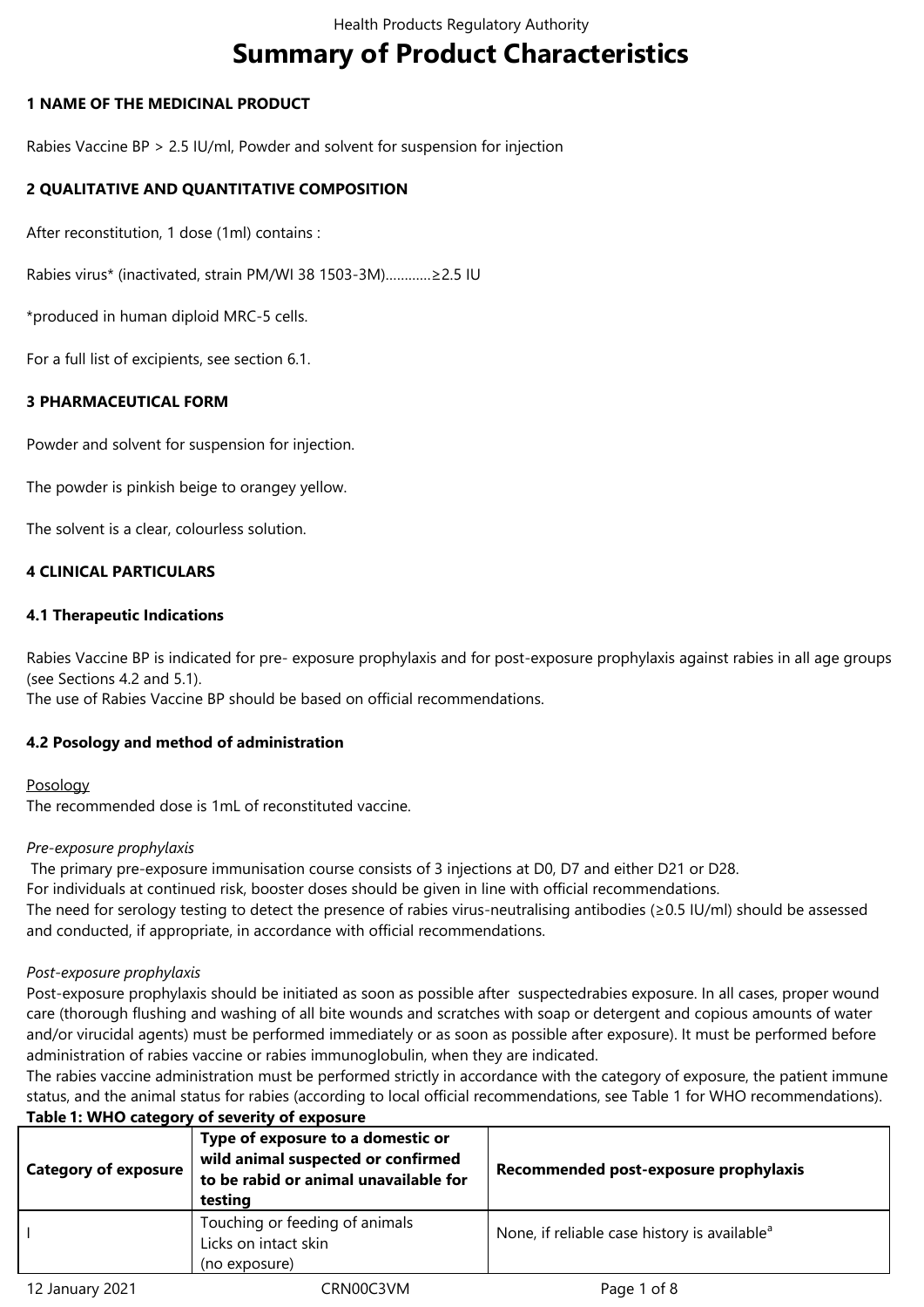# **Summary of Product Characteristics**

# **1 NAME OF THE MEDICINAL PRODUCT**

Rabies Vaccine BP > 2.5 IU/ml, Powder and solvent for suspension for injection

# **2 QUALITATIVE AND QUANTITATIVE COMPOSITION**

After reconstitution, 1 dose (1ml) contains :

Rabies virus\* (inactivated, strain PM/WI 38 1503-3M)…………≥2.5 IU

\*produced in human diploid MRC-5 cells.

For a full list of excipients, see section 6.1.

# **3 PHARMACEUTICAL FORM**

Powder and solvent for suspension for injection.

The powder is pinkish beige to orangey yellow.

The solvent is a clear, colourless solution.

## **4 CLINICAL PARTICULARS**

## **4.1 Therapeutic Indications**

Rabies Vaccine BP is indicated for pre- exposure prophylaxis and for post-exposure prophylaxis against rabies in all age groups (see Sections 4.2 and 5.1).

The use of Rabies Vaccine BP should be based on official recommendations.

# **4.2 Posology and method of administration**

#### Posology

The recommended dose is 1mL of reconstituted vaccine.

#### *Pre-exposure prophylaxis*

The primary pre-exposure immunisation course consists of 3 injections at D0, D7 and either D21 or D28.

For individuals at continued risk, booster doses should be given in line with official recommendations.

The need for serology testing to detect the presence of rabies virus-neutralising antibodies ( $\geq 0.5$  IU/ml) should be assessed and conducted, if appropriate, in accordance with official recommendations.

#### *Post-exposure prophylaxis*

Post-exposure prophylaxis should be initiated as soon as possible after suspectedrabies exposure. In all cases, proper wound care (thorough flushing and washing of all bite wounds and scratches with soap or detergent and copious amounts of water and/or virucidal agents) must be performed immediately or as soon as possible after exposure). It must be performed before administration of rabies vaccine or rabies immunoglobulin, when they are indicated.

The rabies vaccine administration must be performed strictly in accordance with the category of exposure, the patient immune status, and the animal status for rabies (according to local official recommendations, see Table 1 for WHO recommendations). **Table 1: WHO category of severity of exposure** 

|                             | Table 1. WHO Category Of Severity Of Exposure                                                                               |                                                          |  |
|-----------------------------|-----------------------------------------------------------------------------------------------------------------------------|----------------------------------------------------------|--|
| <b>Category of exposure</b> | Type of exposure to a domestic or<br>wild animal suspected or confirmed<br>to be rabid or animal unavailable for<br>testing | Recommended post-exposure prophylaxis                    |  |
|                             | Touching or feeding of animals<br>Licks on intact skin<br>(no exposure)                                                     | None, if reliable case history is available <sup>a</sup> |  |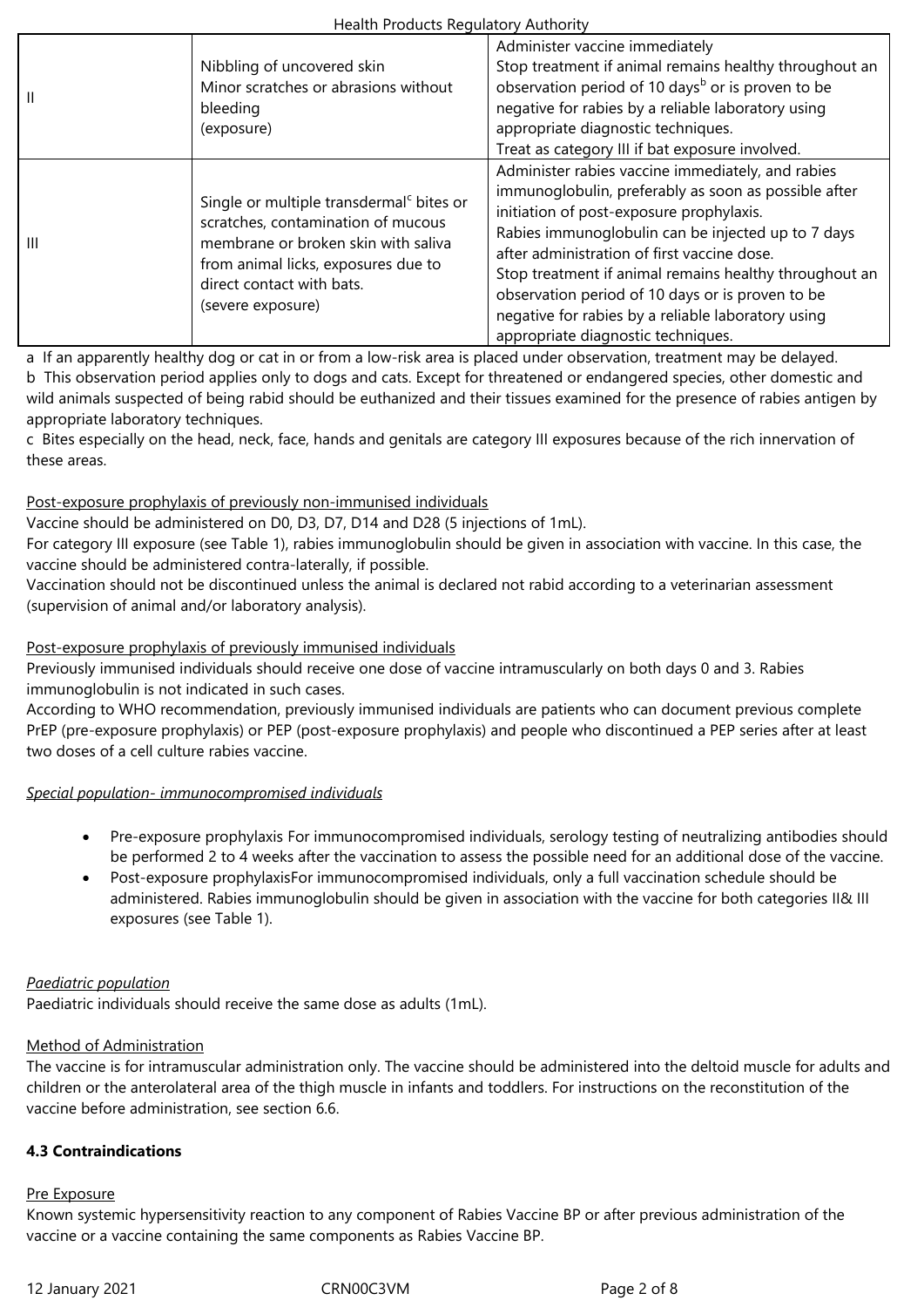| $\mathbf{H}$   | Nibbling of uncovered skin<br>Minor scratches or abrasions without<br>bleeding<br>(exposure)                                                                                                                               | Administer vaccine immediately<br>Stop treatment if animal remains healthy throughout an<br>observation period of 10 days <sup>b</sup> or is proven to be<br>negative for rabies by a reliable laboratory using<br>appropriate diagnostic techniques.<br>Treat as category III if bat exposure involved.                                                                                                                                                             |
|----------------|----------------------------------------------------------------------------------------------------------------------------------------------------------------------------------------------------------------------------|----------------------------------------------------------------------------------------------------------------------------------------------------------------------------------------------------------------------------------------------------------------------------------------------------------------------------------------------------------------------------------------------------------------------------------------------------------------------|
| $\mathbf{III}$ | Single or multiple transdermal <sup>c</sup> bites or<br>scratches, contamination of mucous<br>membrane or broken skin with saliva<br>from animal licks, exposures due to<br>direct contact with bats.<br>(severe exposure) | Administer rabies vaccine immediately, and rabies<br>immunoglobulin, preferably as soon as possible after<br>initiation of post-exposure prophylaxis.<br>Rabies immunoglobulin can be injected up to 7 days<br>after administration of first vaccine dose.<br>Stop treatment if animal remains healthy throughout an<br>observation period of 10 days or is proven to be<br>negative for rabies by a reliable laboratory using<br>appropriate diagnostic techniques. |

a If an apparently healthy dog or cat in or from a low-risk area is placed under observation, treatment may be delayed. b This observation period applies only to dogs and cats. Except for threatened or endangered species, other domestic and wild animals suspected of being rabid should be euthanized and their tissues examined for the presence of rabies antigen by appropriate laboratory techniques.

c Bites especially on the head, neck, face, hands and genitals are category III exposures because of the rich innervation of these areas.

# Post-exposure prophylaxis of previously non-immunised individuals

Vaccine should be administered on D0, D3, D7, D14 and D28 (5 injections of 1mL).

For category III exposure (see Table 1), rabies immunoglobulin should be given in association with vaccine. In this case, the vaccine should be administered contra-laterally, if possible.

Vaccination should not be discontinued unless the animal is declared not rabid according to a veterinarian assessment (supervision of animal and/or laboratory analysis).

# Post-exposure prophylaxis of previously immunised individuals

Previously immunised individuals should receive one dose of vaccine intramuscularly on both days 0 and 3. Rabies immunoglobulin is not indicated in such cases.

According to WHO recommendation, previously immunised individuals are patients who can document previous complete PrEP (pre-exposure prophylaxis) or PEP (post-exposure prophylaxis) and people who discontinued a PEP series after at least two doses of a cell culture rabies vaccine.

# *Special population- immunocompromised individuals*

- Pre-exposure prophylaxis For immunocompromised individuals, serology testing of neutralizing antibodies should be performed 2 to 4 weeks after the vaccination to assess the possible need for an additional dose of the vaccine.
- Post-exposure prophylaxisFor immunocompromised individuals, only a full vaccination schedule should be administered. Rabies immunoglobulin should be given in association with the vaccine for both categories II& III exposures (see Table 1).

# *Paediatric population*

Paediatric individuals should receive the same dose as adults (1mL).

#### Method of Administration

The vaccine is for intramuscular administration only. The vaccine should be administered into the deltoid muscle for adults and children or the anterolateral area of the thigh muscle in infants and toddlers. For instructions on the reconstitution of the vaccine before administration, see section 6.6.

#### **4.3 Contraindications**

#### Pre Exposure

Known systemic hypersensitivity reaction to any component of Rabies Vaccine BP or after previous administration of the vaccine or a vaccine containing the same components as Rabies Vaccine BP.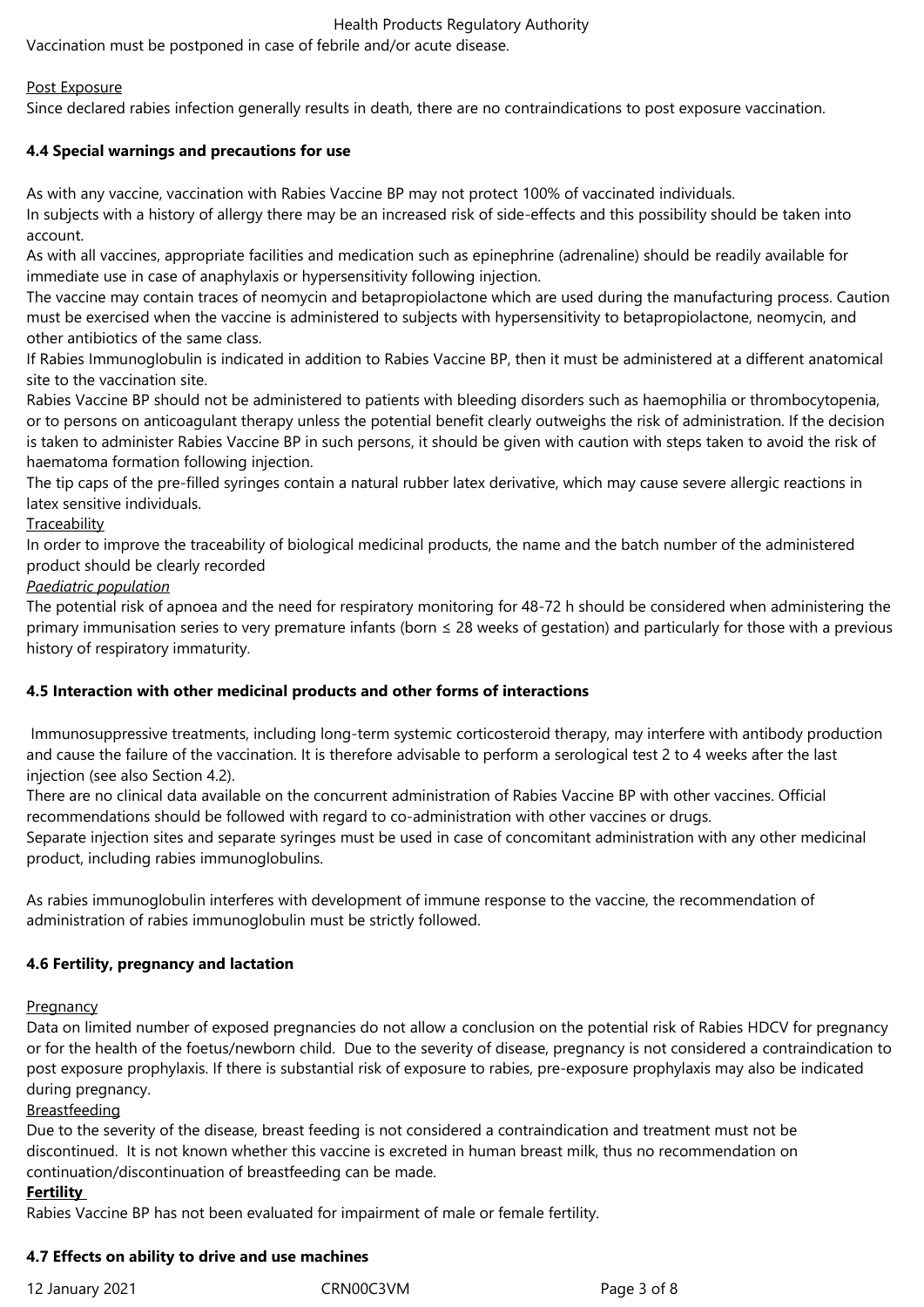## Health Products Regulatory Authority

Vaccination must be postponed in case of febrile and/or acute disease.

## Post Exposure

Since declared rabies infection generally results in death, there are no contraindications to post exposure vaccination.

# **4.4 Special warnings and precautions for use**

As with any vaccine, vaccination with Rabies Vaccine BP may not protect 100% of vaccinated individuals.

In subjects with a history of allergy there may be an increased risk of side-effects and this possibility should be taken into account.

As with all vaccines, appropriate facilities and medication such as epinephrine (adrenaline) should be readily available for immediate use in case of anaphylaxis or hypersensitivity following injection.

The vaccine may contain traces of neomycin and betapropiolactone which are used during the manufacturing process. Caution must be exercised when the vaccine is administered to subjects with hypersensitivity to betapropiolactone, neomycin, and other antibiotics of the same class.

If Rabies Immunoglobulin is indicated in addition to Rabies Vaccine BP, then it must be administered at a different anatomical site to the vaccination site.

Rabies Vaccine BP should not be administered to patients with bleeding disorders such as haemophilia or thrombocytopenia, or to persons on anticoagulant therapy unless the potential benefit clearly outweighs the risk of administration. If the decision is taken to administer Rabies Vaccine BP in such persons, it should be given with caution with steps taken to avoid the risk of haematoma formation following injection.

The tip caps of the pre-filled syringes contain a natural rubber latex derivative, which may cause severe allergic reactions in latex sensitive individuals.

# **Traceability**

In order to improve the traceability of biological medicinal products, the name and the batch number of the administered product should be clearly recorded

## *Paediatric population*

The potential risk of apnoea and the need for respiratory monitoring for 48-72 h should be considered when administering the primary immunisation series to very premature infants (born ≤ 28 weeks of gestation) and particularly for those with a previous history of respiratory immaturity.

# **4.5 Interaction with other medicinal products and other forms of interactions**

 Immunosuppressive treatments, including long-term systemic corticosteroid therapy, may interfere with antibody production and cause the failure of the vaccination. It is therefore advisable to perform a serological test 2 to 4 weeks after the last injection (see also Section 4.2).

There are no clinical data available on the concurrent administration of Rabies Vaccine BP with other vaccines. Official recommendations should be followed with regard to co-administration with other vaccines or drugs.

Separate injection sites and separate syringes must be used in case of concomitant administration with any other medicinal product, including rabies immunoglobulins.

As rabies immunoglobulin interferes with development of immune response to the vaccine, the recommendation of administration of rabies immunoglobulin must be strictly followed.

# **4.6 Fertility, pregnancy and lactation**

**Pregnancy** 

Data on limited number of exposed pregnancies do not allow a conclusion on the potential risk of Rabies HDCV for pregnancy or for the health of the foetus/newborn child. Due to the severity of disease, pregnancy is not considered a contraindication to post exposure prophylaxis. If there is substantial risk of exposure to rabies, pre-exposure prophylaxis may also be indicated during pregnancy.

#### **Breastfeeding**

Due to the severity of the disease, breast feeding is not considered a contraindication and treatment must not be discontinued. It is not known whether this vaccine is excreted in human breast milk, thus no recommendation on continuation/discontinuation of breastfeeding can be made.

#### **Fertility**

Rabies Vaccine BP has not been evaluated for impairment of male or female fertility.

# **4.7 Effects on ability to drive and use machines**

12 January 2021 CRN00C3VM Page 3 of 8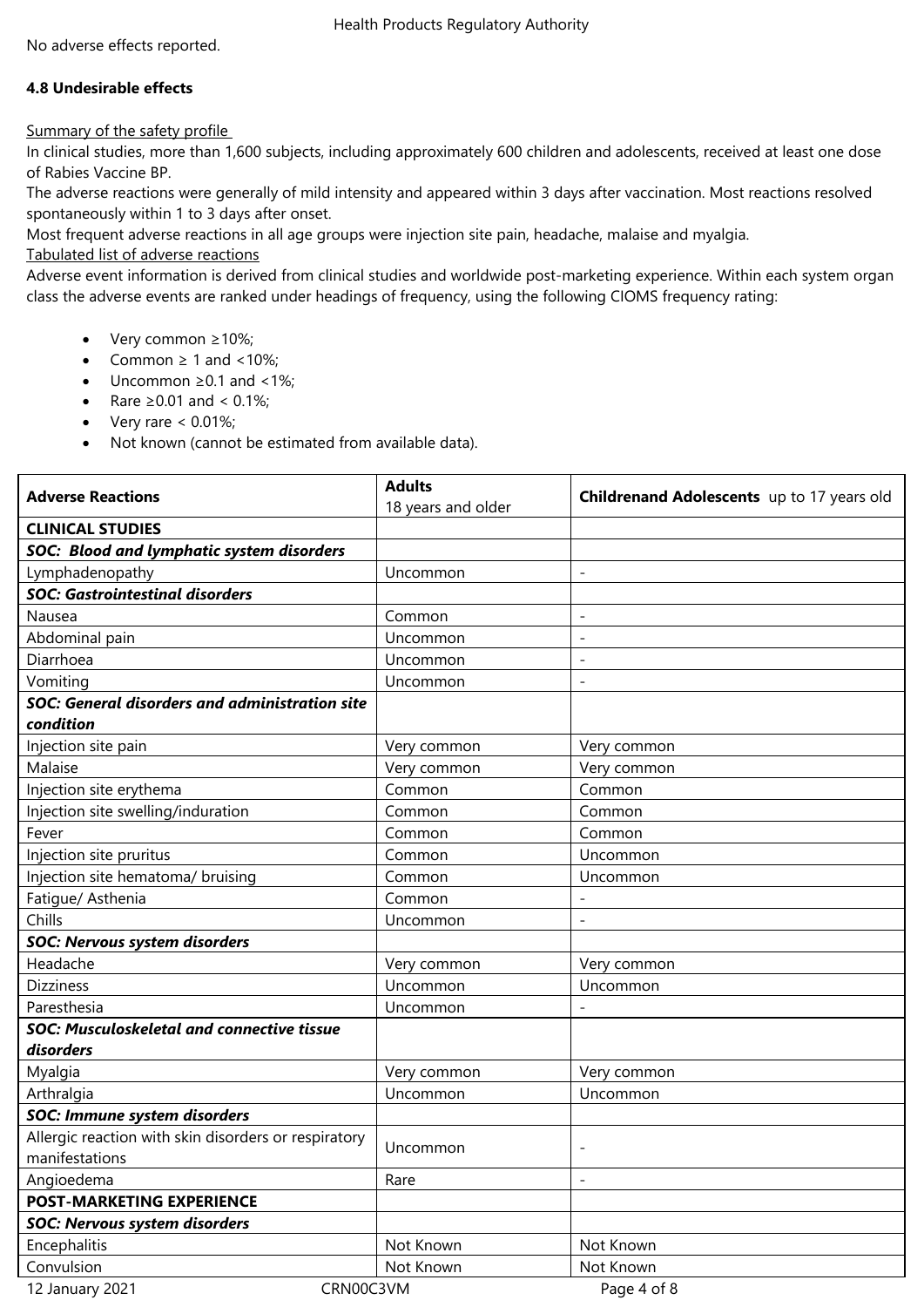No adverse effects reported.

## **4.8 Undesirable effects**

## Summary of the safety profile

In clinical studies, more than 1,600 subjects, including approximately 600 children and adolescents, received at least one dose of Rabies Vaccine BP.

The adverse reactions were generally of mild intensity and appeared within 3 days after vaccination. Most reactions resolved spontaneously within 1 to 3 days after onset.

Most frequent adverse reactions in all age groups were injection site pain, headache, malaise and myalgia.

#### Tabulated list of adverse reactions

Adverse event information is derived from clinical studies and worldwide post-marketing experience. Within each system organ class the adverse events are ranked under headings of frequency, using the following CIOMS frequency rating:

- Very common ≥10%;
- Common  $\geq 1$  and <10%;
- Uncommon ≥0.1 and <1%;
- Rare ≥0.01 and < 0.1%;
- $\bullet$  Very rare  $< 0.01\%$ ;
- Not known (cannot be estimated from available data).

| <b>Adverse Reactions</b>                             | <b>Adults</b>      | Childrenand Adolescents up to 17 years old |
|------------------------------------------------------|--------------------|--------------------------------------------|
|                                                      | 18 years and older |                                            |
| <b>CLINICAL STUDIES</b>                              |                    |                                            |
| SOC: Blood and lymphatic system disorders            |                    |                                            |
| Lymphadenopathy                                      | Uncommon           | $\overline{\phantom{a}}$                   |
| <b>SOC: Gastrointestinal disorders</b>               |                    |                                            |
| Nausea                                               | Common             |                                            |
| Abdominal pain                                       | Uncommon           | $\overline{\phantom{a}}$                   |
| Diarrhoea                                            | Uncommon           | $\overline{a}$                             |
| Vomiting                                             | Uncommon           | $\overline{a}$                             |
| SOC: General disorders and administration site       |                    |                                            |
| condition                                            |                    |                                            |
| Injection site pain                                  | Very common        | Very common                                |
| Malaise                                              | Very common        | Very common                                |
| Injection site erythema                              | Common             | Common                                     |
| Injection site swelling/induration                   | Common             | Common                                     |
| Fever                                                | Common             | Common                                     |
| Injection site pruritus                              | Common             | Uncommon                                   |
| Injection site hematoma/ bruising                    | Common             | Uncommon                                   |
| Fatigue/ Asthenia                                    | Common             |                                            |
| Chills                                               | Uncommon           | $\overline{a}$                             |
| <b>SOC: Nervous system disorders</b>                 |                    |                                            |
| Headache                                             | Very common        | Very common                                |
| <b>Dizziness</b>                                     | Uncommon           | Uncommon                                   |
| Paresthesia                                          | Uncommon           |                                            |
| <b>SOC: Musculoskeletal and connective tissue</b>    |                    |                                            |
| disorders                                            |                    |                                            |
| Myalgia                                              | Very common        | Very common                                |
| Arthralgia                                           | Uncommon           | Uncommon                                   |
| <b>SOC: Immune system disorders</b>                  |                    |                                            |
| Allergic reaction with skin disorders or respiratory | Uncommon           | $\overline{\phantom{a}}$                   |
| manifestations                                       |                    |                                            |
| Angioedema                                           | Rare               |                                            |
| POST-MARKETING EXPERIENCE                            |                    |                                            |
| <b>SOC: Nervous system disorders</b>                 |                    |                                            |
| Encephalitis                                         | Not Known          | Not Known                                  |
| Convulsion                                           | Not Known          | Not Known                                  |
| 12 January 2021<br>CRN00C3VM                         |                    | Page 4 of 8                                |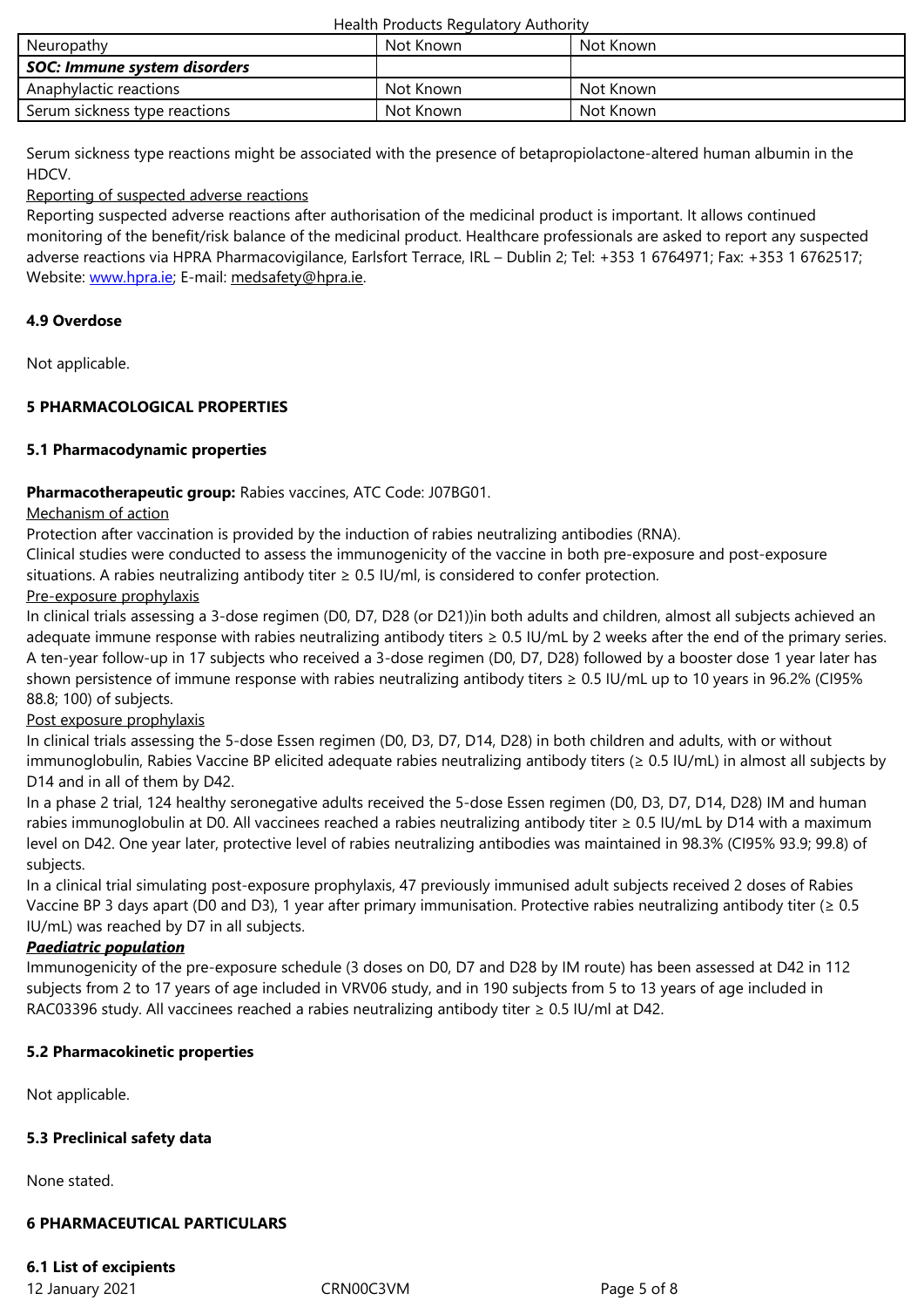| reactions                              | Known        | Not          |
|----------------------------------------|--------------|--------------|
| Anaphylactic                           | Not          | Knowr        |
| reactions<br>Serum<br>type<br>sickness | Knowr<br>Not | Not<br>Known |

Serum sickness type reactions might be associated with the presence of betapropiolactone-altered human albumin in the HDCV.

# Reporting of suspected adverse reactions

Reporting suspected adverse reactions after authorisation of the medicinal product is important. It allows continued monitoring of the benefit/risk balance of the medicinal product. Healthcare professionals are asked to report any suspected adverse reactions via HPRA Pharmacovigilance, Earlsfort Terrace, IRL – Dublin 2; Tel: +353 1 6764971; Fax: +353 1 6762517; Website: www.hpra.ie; E-mail: medsafety@hpra.ie.

## **4.9 Overdose**

Not appl[icable.](http://www.hpra.ie/)

## **5 PHARMACOLOGICAL PROPERTIES**

#### **5.1 Pharmacodynamic properties**

## **Pharmacotherapeutic group:** Rabies vaccines, ATC Code: J07BG01.

#### Mechanism of action

Protection after vaccination is provided by the induction of rabies neutralizing antibodies (RNA).

Clinical studies were conducted to assess the immunogenicity of the vaccine in both pre-exposure and post-exposure situations. A rabies neutralizing antibody titer  $\geq$  0.5 IU/ml, is considered to confer protection.

## Pre-exposure prophylaxis

In clinical trials assessing a 3-dose regimen (D0, D7, D28 (or D21))in both adults and children, almost all subjects achieved an adequate immune response with rabies neutralizing antibody titers ≥ 0.5 IU/mL by 2 weeks after the end of the primary series. A ten-year follow-up in 17 subjects who received a 3-dose regimen (D0, D7, D28) followed by a booster dose 1 year later has shown persistence of immune response with rabies neutralizing antibody titers ≥ 0.5 IU/mL up to 10 years in 96.2% (CI95% 88.8; 100) of subjects.

#### Post exposure prophylaxis

In clinical trials assessing the 5-dose Essen regimen (D0, D3, D7, D14, D28) in both children and adults, with or without immunoglobulin, Rabies Vaccine BP elicited adequate rabies neutralizing antibody titers (≥ 0.5 IU/mL) in almost all subjects by D14 and in all of them by D42.

In a phase 2 trial, 124 healthy seronegative adults received the 5-dose Essen regimen (D0, D3, D7, D14, D28) IM and human rabies immunoglobulin at D0. All vaccinees reached a rabies neutralizing antibody titer ≥ 0.5 IU/mL by D14 with a maximum level on D42. One year later, protective level of rabies neutralizing antibodies was maintained in 98.3% (CI95% 93.9; 99.8) of subjects.

In a clinical trial simulating post-exposure prophylaxis, 47 previously immunised adult subjects received 2 doses of Rabies Vaccine BP 3 days apart (D0 and D3), 1 year after primary immunisation. Protective rabies neutralizing antibody titer ( $\geq 0.5$ IU/mL) was reached by D7 in all subjects.

#### *Paediatric population*

Immunogenicity of the pre-exposure schedule (3 doses on D0, D7 and D28 by IM route) has been assessed at D42 in 112 subjects from 2 to 17 years of age included in VRV06 study, and in 190 subjects from 5 to 13 years of age included in RAC03396 study. All vaccinees reached a rabies neutralizing antibody titer ≥ 0.5 IU/ml at D42.

#### **5.2 Pharmacokinetic properties**

Not applicable.

# **5.3 Preclinical safety data**

None stated.

#### **6 PHARMACEUTICAL PARTICULARS**

# **6.1 List of excipients**

12 January 2021 CRN00C3VM Page 5 of 8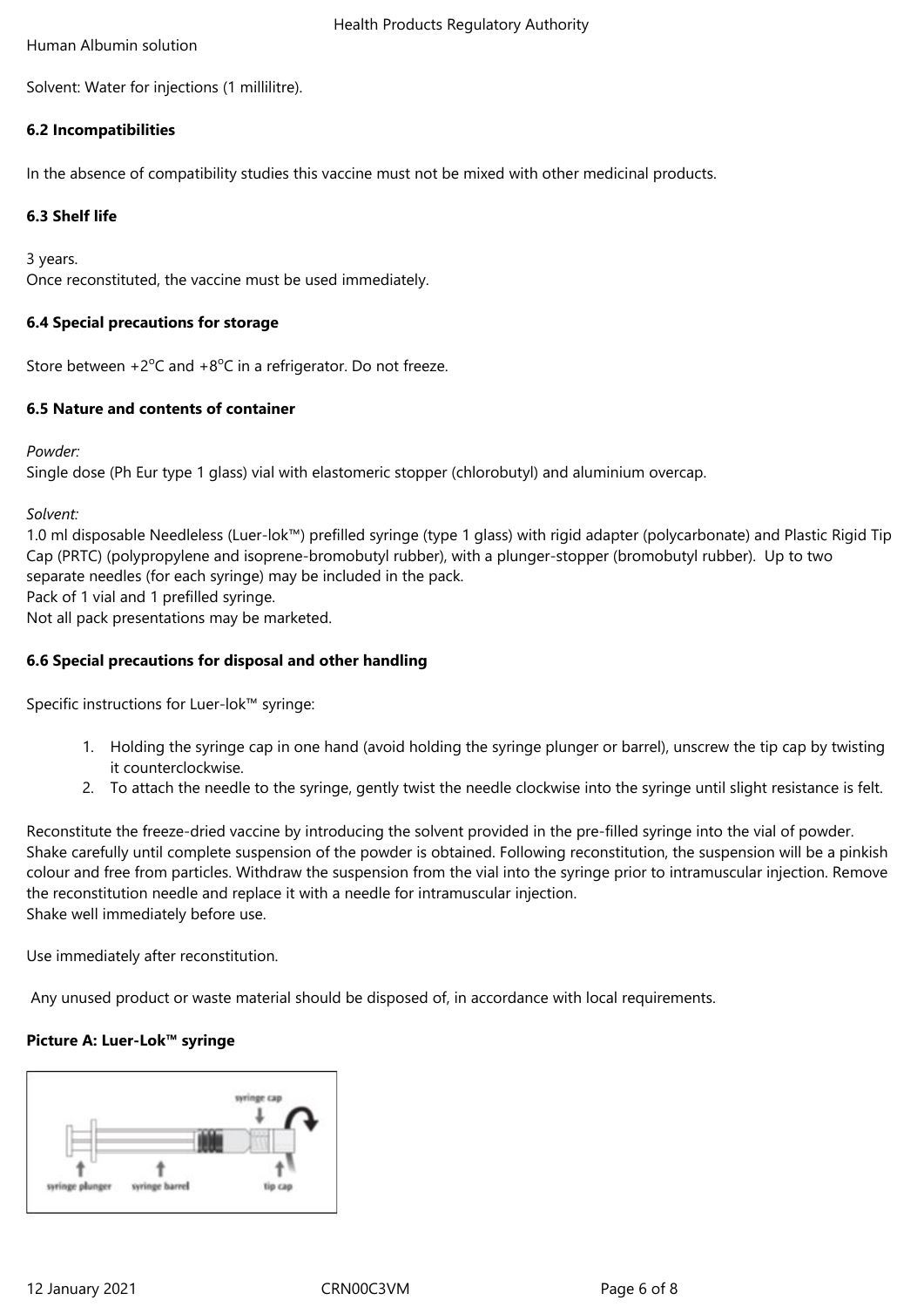## Human Albumin solution

Solvent: Water for injections (1 millilitre).

## **6.2 Incompatibilities**

In the absence of compatibility studies this vaccine must not be mixed with other medicinal products.

## **6.3 Shelf life**

3 years.

Once reconstituted, the vaccine must be used immediately.

## **6.4 Special precautions for storage**

Store between  $+2^{\circ}$ C and  $+8^{\circ}$ C in a refrigerator. Do not freeze.

## **6.5 Nature and contents of container**

*Powder:*

Single dose (Ph Eur type 1 glass) vial with elastomeric stopper (chlorobutyl) and aluminium overcap.

*Solvent:* 

1.0 ml disposable Needleless (Luer-lok™) prefilled syringe (type 1 glass) with rigid adapter (polycarbonate) and Plastic Rigid Tip Cap (PRTC) (polypropylene and isoprene-bromobutyl rubber), with a plunger-stopper (bromobutyl rubber). Up to two separate needles (for each syringe) may be included in the pack.

Pack of 1 vial and 1 prefilled syringe.

Not all pack presentations may be marketed.

## **6.6 Special precautions for disposal and other handling**

Specific instructions for Luer-lok™ syringe:

- 1. Holding the syringe cap in one hand (avoid holding the syringe plunger or barrel), unscrew the tip cap by twisting it counterclockwise.
- 2. To attach the needle to the syringe, gently twist the needle clockwise into the syringe until slight resistance is felt.

Reconstitute the freeze-dried vaccine by introducing the solvent provided in the pre-filled syringe into the vial of powder. Shake carefully until complete suspension of the powder is obtained. Following reconstitution, the suspension will be a pinkish colour and free from particles. Withdraw the suspension from the vial into the syringe prior to intramuscular injection. Remove the reconstitution needle and replace it with a needle for intramuscular injection. Shake well immediately before use.

Use immediately after reconstitution.

Any unused product or waste material should be disposed of, in accordance with local requirements.

# **Picture A: Luer-Lok™ syringe**

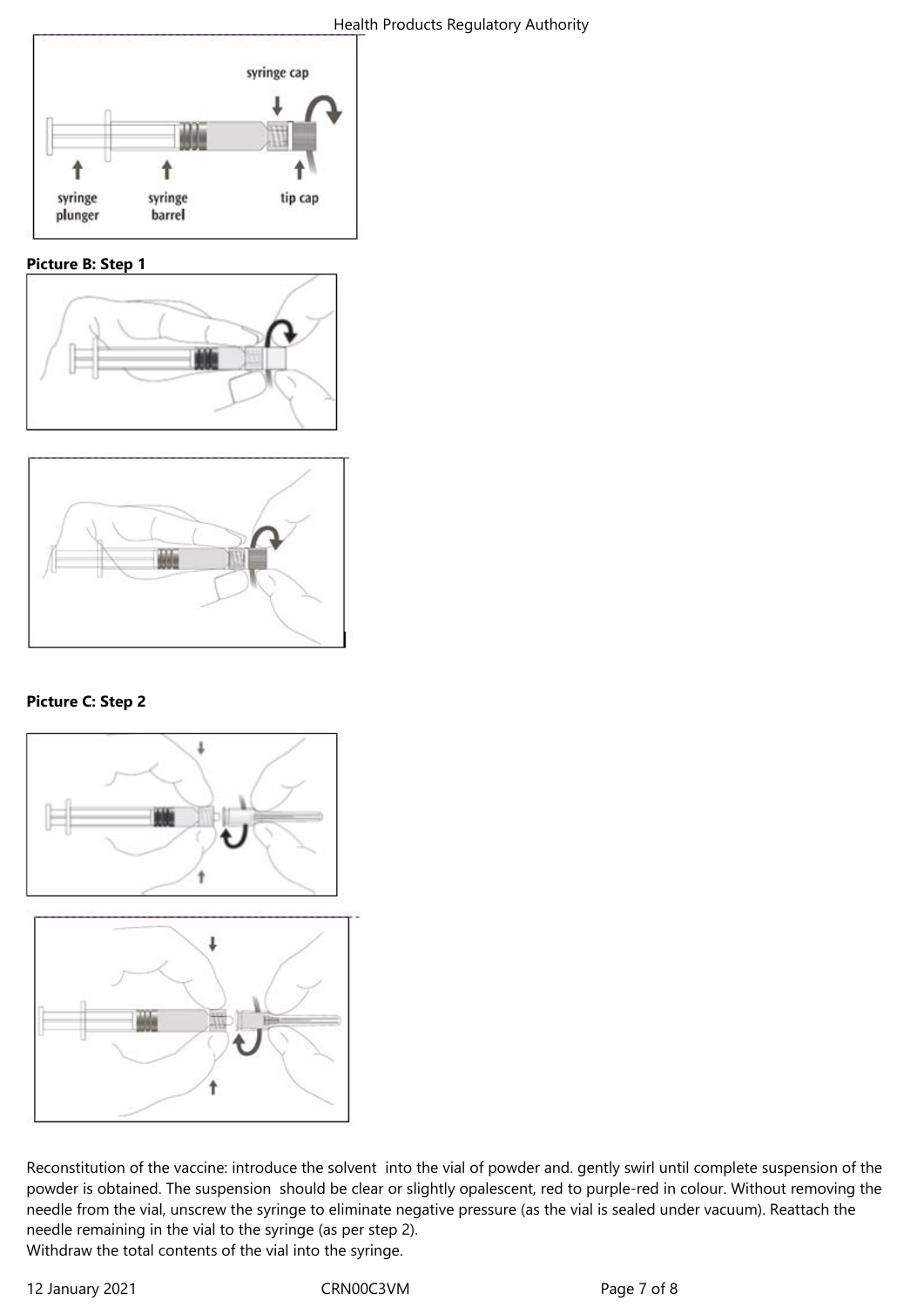

## **Picture B: Step 1**





# **Picture C: Step 2**





Reconstitution of the vaccine: introduce the solvent into the vial of powder and. gently swirl until complete suspension of the powder is obtained. The suspension should be clear or slightly opalescent, red to purple-red in colour. Without removing the needle from the vial, unscrew the syringe to eliminate negative pressure (as the vial is sealed under vacuum). Reattach the needle remaining in the vial to the syringe (as per step 2). Withdraw the total contents of the vial into the syringe.

12 January 2021 CRN00C3VM Page 7 of 8